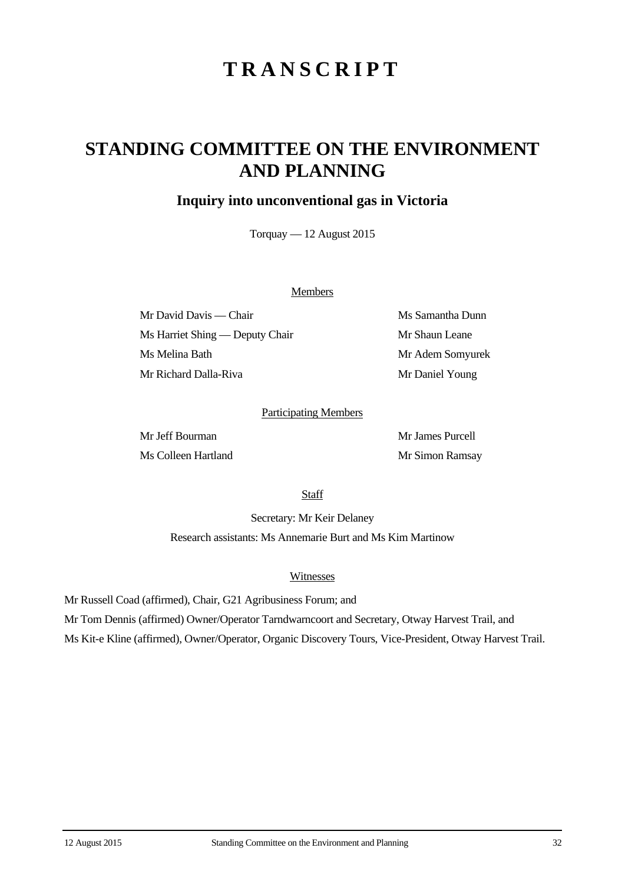# **TRANSCRIPT**

## **STANDING COMMITTEE ON THE ENVIRONMENT AND PLANNING**

### **Inquiry into unconventional gas in Victoria**

Torquay — 12 August 2015

#### Members

Mr David Davis — Chair Ms Samantha Dunn Ms Harriet Shing — Deputy Chair Mr Shaun Leane Ms Melina Bath Mr Adem Somyurek Mr Richard Dalla-Riva Mr Daniel Young

#### Participating Members

Mr Jeff Bourman Mr James Purcell Ms Colleen Hartland Mr Simon Ramsay

**Staff** 

Secretary: Mr Keir Delaney Research assistants: Ms Annemarie Burt and Ms Kim Martinow

#### Witnesses

Mr Russell Coad (affirmed), Chair, G21 Agribusiness Forum; and

Mr Tom Dennis (affirmed) Owner/Operator Tarndwarncoort and Secretary, Otway Harvest Trail, and

Ms Kit-e Kline (affirmed), Owner/Operator, Organic Discovery Tours, Vice-President, Otway Harvest Trail.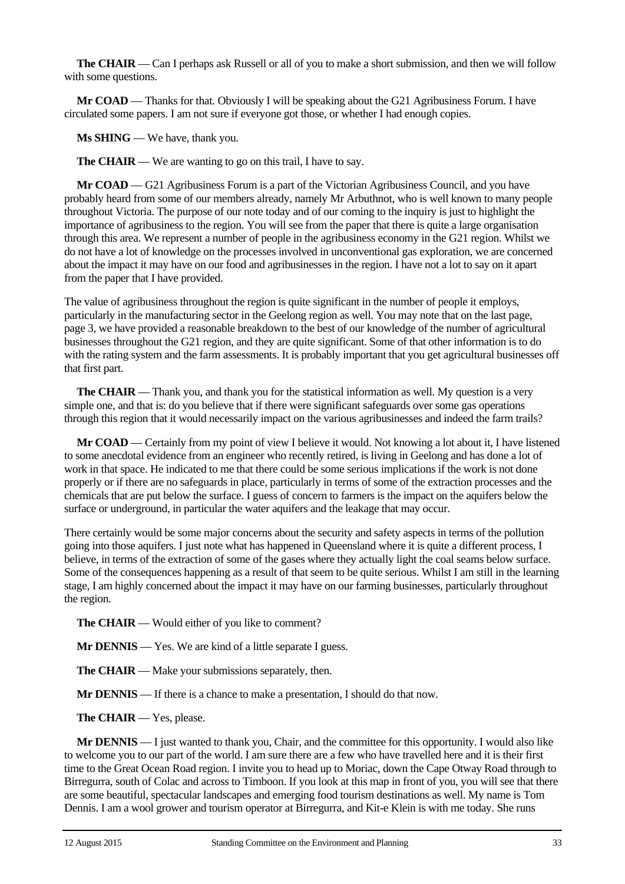**The CHAIR** — Can I perhaps ask Russell or all of you to make a short submission, and then we will follow with some questions.

**Mr COAD** — Thanks for that. Obviously I will be speaking about the G21 Agribusiness Forum. I have circulated some papers. I am not sure if everyone got those, or whether I had enough copies.

**Ms SHING** — We have, thank you.

**The CHAIR** — We are wanting to go on this trail, I have to say.

**Mr COAD** — G21 Agribusiness Forum is a part of the Victorian Agribusiness Council, and you have probably heard from some of our members already, namely Mr Arbuthnot, who is well known to many people throughout Victoria. The purpose of our note today and of our coming to the inquiry is just to highlight the importance of agribusiness to the region. You will see from the paper that there is quite a large organisation through this area. We represent a number of people in the agribusiness economy in the G21 region. Whilst we do not have a lot of knowledge on the processes involved in unconventional gas exploration, we are concerned about the impact it may have on our food and agribusinesses in the region. I have not a lot to say on it apart from the paper that I have provided.

The value of agribusiness throughout the region is quite significant in the number of people it employs, particularly in the manufacturing sector in the Geelong region as well. You may note that on the last page, page 3, we have provided a reasonable breakdown to the best of our knowledge of the number of agricultural businesses throughout the G21 region, and they are quite significant. Some of that other information is to do with the rating system and the farm assessments. It is probably important that you get agricultural businesses off that first part.

**The CHAIR** — Thank you, and thank you for the statistical information as well. My question is a very simple one, and that is: do you believe that if there were significant safeguards over some gas operations through this region that it would necessarily impact on the various agribusinesses and indeed the farm trails?

**Mr COAD** — Certainly from my point of view I believe it would. Not knowing a lot about it, I have listened to some anecdotal evidence from an engineer who recently retired, is living in Geelong and has done a lot of work in that space. He indicated to me that there could be some serious implications if the work is not done properly or if there are no safeguards in place, particularly in terms of some of the extraction processes and the chemicals that are put below the surface. I guess of concern to farmers is the impact on the aquifers below the surface or underground, in particular the water aquifers and the leakage that may occur.

There certainly would be some major concerns about the security and safety aspects in terms of the pollution going into those aquifers. I just note what has happened in Queensland where it is quite a different process, I believe, in terms of the extraction of some of the gases where they actually light the coal seams below surface. Some of the consequences happening as a result of that seem to be quite serious. Whilst I am still in the learning stage, I am highly concerned about the impact it may have on our farming businesses, particularly throughout the region.

**The CHAIR** — Would either of you like to comment?

**Mr DENNIS** — Yes. We are kind of a little separate I guess.

**The CHAIR** — Make your submissions separately, then.

**Mr DENNIS** — If there is a chance to make a presentation, I should do that now.

**The CHAIR** — Yes, please.

**Mr DENNIS** — I just wanted to thank you, Chair, and the committee for this opportunity. I would also like to welcome you to our part of the world. I am sure there are a few who have travelled here and it is their first time to the Great Ocean Road region. I invite you to head up to Moriac, down the Cape Otway Road through to Birregurra, south of Colac and across to Timboon. If you look at this map in front of you, you will see that there are some beautiful, spectacular landscapes and emerging food tourism destinations as well. My name is Tom Dennis. I am a wool grower and tourism operator at Birregurra, and Kit-e Klein is with me today. She runs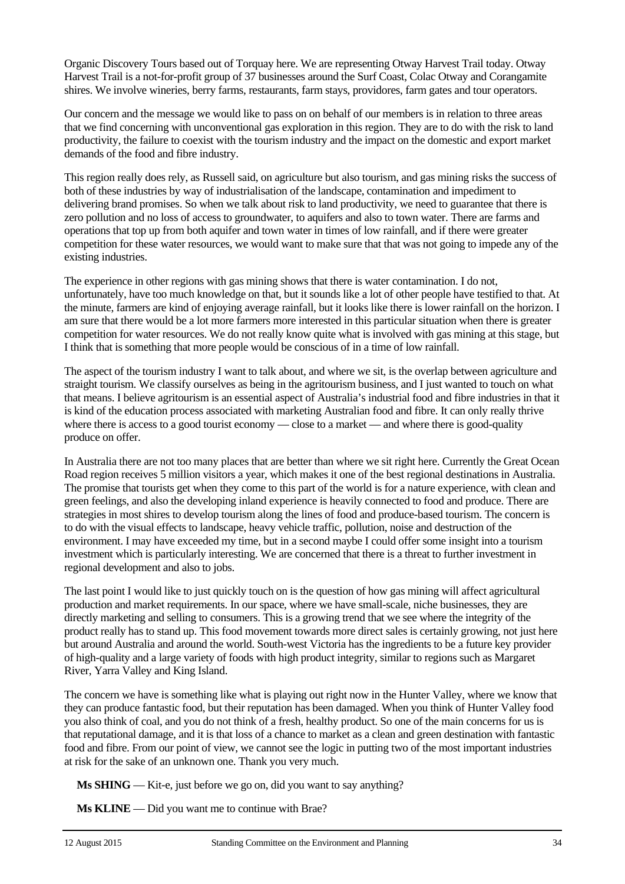Organic Discovery Tours based out of Torquay here. We are representing Otway Harvest Trail today. Otway Harvest Trail is a not-for-profit group of 37 businesses around the Surf Coast, Colac Otway and Corangamite shires. We involve wineries, berry farms, restaurants, farm stays, providores, farm gates and tour operators.

Our concern and the message we would like to pass on on behalf of our members is in relation to three areas that we find concerning with unconventional gas exploration in this region. They are to do with the risk to land productivity, the failure to coexist with the tourism industry and the impact on the domestic and export market demands of the food and fibre industry.

This region really does rely, as Russell said, on agriculture but also tourism, and gas mining risks the success of both of these industries by way of industrialisation of the landscape, contamination and impediment to delivering brand promises. So when we talk about risk to land productivity, we need to guarantee that there is zero pollution and no loss of access to groundwater, to aquifers and also to town water. There are farms and operations that top up from both aquifer and town water in times of low rainfall, and if there were greater competition for these water resources, we would want to make sure that that was not going to impede any of the existing industries.

The experience in other regions with gas mining shows that there is water contamination. I do not, unfortunately, have too much knowledge on that, but it sounds like a lot of other people have testified to that. At the minute, farmers are kind of enjoying average rainfall, but it looks like there is lower rainfall on the horizon. I am sure that there would be a lot more farmers more interested in this particular situation when there is greater competition for water resources. We do not really know quite what is involved with gas mining at this stage, but I think that is something that more people would be conscious of in a time of low rainfall.

The aspect of the tourism industry I want to talk about, and where we sit, is the overlap between agriculture and straight tourism. We classify ourselves as being in the agritourism business, and I just wanted to touch on what that means. I believe agritourism is an essential aspect of Australia's industrial food and fibre industries in that it is kind of the education process associated with marketing Australian food and fibre. It can only really thrive where there is access to a good tourist economy — close to a market — and where there is good-quality produce on offer.

In Australia there are not too many places that are better than where we sit right here. Currently the Great Ocean Road region receives 5 million visitors a year, which makes it one of the best regional destinations in Australia. The promise that tourists get when they come to this part of the world is for a nature experience, with clean and green feelings, and also the developing inland experience is heavily connected to food and produce. There are strategies in most shires to develop tourism along the lines of food and produce-based tourism. The concern is to do with the visual effects to landscape, heavy vehicle traffic, pollution, noise and destruction of the environment. I may have exceeded my time, but in a second maybe I could offer some insight into a tourism investment which is particularly interesting. We are concerned that there is a threat to further investment in regional development and also to jobs.

The last point I would like to just quickly touch on is the question of how gas mining will affect agricultural production and market requirements. In our space, where we have small-scale, niche businesses, they are directly marketing and selling to consumers. This is a growing trend that we see where the integrity of the product really has to stand up. This food movement towards more direct sales is certainly growing, not just here but around Australia and around the world. South-west Victoria has the ingredients to be a future key provider of high-quality and a large variety of foods with high product integrity, similar to regions such as Margaret River, Yarra Valley and King Island.

The concern we have is something like what is playing out right now in the Hunter Valley, where we know that they can produce fantastic food, but their reputation has been damaged. When you think of Hunter Valley food you also think of coal, and you do not think of a fresh, healthy product. So one of the main concerns for us is that reputational damage, and it is that loss of a chance to market as a clean and green destination with fantastic food and fibre. From our point of view, we cannot see the logic in putting two of the most important industries at risk for the sake of an unknown one. Thank you very much.

**Ms SHING** — Kit-e, just before we go on, did you want to say anything?

**Ms KLINE** — Did you want me to continue with Brae?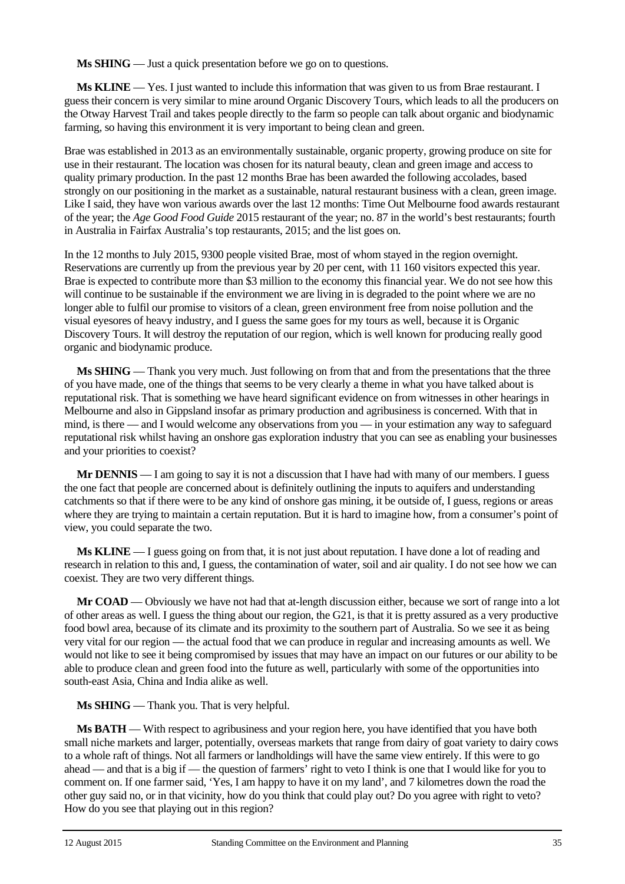**Ms SHING** — Just a quick presentation before we go on to questions.

**Ms KLINE** — Yes. I just wanted to include this information that was given to us from Brae restaurant. I guess their concern is very similar to mine around Organic Discovery Tours, which leads to all the producers on the Otway Harvest Trail and takes people directly to the farm so people can talk about organic and biodynamic farming, so having this environment it is very important to being clean and green.

Brae was established in 2013 as an environmentally sustainable, organic property, growing produce on site for use in their restaurant. The location was chosen for its natural beauty, clean and green image and access to quality primary production. In the past 12 months Brae has been awarded the following accolades, based strongly on our positioning in the market as a sustainable, natural restaurant business with a clean, green image. Like I said, they have won various awards over the last 12 months: Time Out Melbourne food awards restaurant of the year; the *Age Good Food Guide* 2015 restaurant of the year; no. 87 in the world's best restaurants; fourth in Australia in Fairfax Australia's top restaurants, 2015; and the list goes on.

In the 12 months to July 2015, 9300 people visited Brae, most of whom stayed in the region overnight. Reservations are currently up from the previous year by 20 per cent, with 11 160 visitors expected this year. Brae is expected to contribute more than \$3 million to the economy this financial year. We do not see how this will continue to be sustainable if the environment we are living in is degraded to the point where we are no longer able to fulfil our promise to visitors of a clean, green environment free from noise pollution and the visual eyesores of heavy industry, and I guess the same goes for my tours as well, because it is Organic Discovery Tours. It will destroy the reputation of our region, which is well known for producing really good organic and biodynamic produce.

**Ms SHING** — Thank you very much. Just following on from that and from the presentations that the three of you have made, one of the things that seems to be very clearly a theme in what you have talked about is reputational risk. That is something we have heard significant evidence on from witnesses in other hearings in Melbourne and also in Gippsland insofar as primary production and agribusiness is concerned. With that in mind, is there — and I would welcome any observations from you — in your estimation any way to safeguard reputational risk whilst having an onshore gas exploration industry that you can see as enabling your businesses and your priorities to coexist?

**Mr DENNIS** — I am going to say it is not a discussion that I have had with many of our members. I guess the one fact that people are concerned about is definitely outlining the inputs to aquifers and understanding catchments so that if there were to be any kind of onshore gas mining, it be outside of, I guess, regions or areas where they are trying to maintain a certain reputation. But it is hard to imagine how, from a consumer's point of view, you could separate the two.

**Ms KLINE** — I guess going on from that, it is not just about reputation. I have done a lot of reading and research in relation to this and, I guess, the contamination of water, soil and air quality. I do not see how we can coexist. They are two very different things.

**Mr COAD** — Obviously we have not had that at-length discussion either, because we sort of range into a lot of other areas as well. I guess the thing about our region, the G21, is that it is pretty assured as a very productive food bowl area, because of its climate and its proximity to the southern part of Australia. So we see it as being very vital for our region — the actual food that we can produce in regular and increasing amounts as well. We would not like to see it being compromised by issues that may have an impact on our futures or our ability to be able to produce clean and green food into the future as well, particularly with some of the opportunities into south-east Asia, China and India alike as well.

**Ms SHING** — Thank you. That is very helpful.

**Ms BATH** — With respect to agribusiness and your region here, you have identified that you have both small niche markets and larger, potentially, overseas markets that range from dairy of goat variety to dairy cows to a whole raft of things. Not all farmers or landholdings will have the same view entirely. If this were to go ahead — and that is a big if — the question of farmers' right to veto I think is one that I would like for you to comment on. If one farmer said, 'Yes, I am happy to have it on my land', and 7 kilometres down the road the other guy said no, or in that vicinity, how do you think that could play out? Do you agree with right to veto? How do you see that playing out in this region?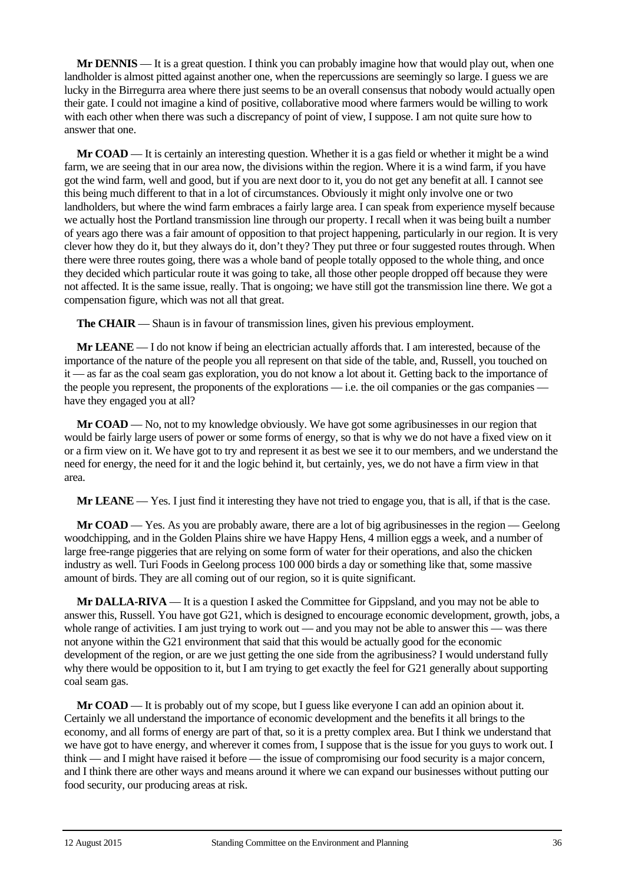**Mr DENNIS** — It is a great question. I think you can probably imagine how that would play out, when one landholder is almost pitted against another one, when the repercussions are seemingly so large. I guess we are lucky in the Birregurra area where there just seems to be an overall consensus that nobody would actually open their gate. I could not imagine a kind of positive, collaborative mood where farmers would be willing to work with each other when there was such a discrepancy of point of view, I suppose. I am not quite sure how to answer that one.

**Mr COAD** — It is certainly an interesting question. Whether it is a gas field or whether it might be a wind farm, we are seeing that in our area now, the divisions within the region. Where it is a wind farm, if you have got the wind farm, well and good, but if you are next door to it, you do not get any benefit at all. I cannot see this being much different to that in a lot of circumstances. Obviously it might only involve one or two landholders, but where the wind farm embraces a fairly large area. I can speak from experience myself because we actually host the Portland transmission line through our property. I recall when it was being built a number of years ago there was a fair amount of opposition to that project happening, particularly in our region. It is very clever how they do it, but they always do it, don't they? They put three or four suggested routes through. When there were three routes going, there was a whole band of people totally opposed to the whole thing, and once they decided which particular route it was going to take, all those other people dropped off because they were not affected. It is the same issue, really. That is ongoing; we have still got the transmission line there. We got a compensation figure, which was not all that great.

**The CHAIR** — Shaun is in favour of transmission lines, given his previous employment.

**Mr LEANE** — I do not know if being an electrician actually affords that. I am interested, because of the importance of the nature of the people you all represent on that side of the table, and, Russell, you touched on it — as far as the coal seam gas exploration, you do not know a lot about it. Getting back to the importance of the people you represent, the proponents of the explorations — i.e. the oil companies or the gas companies have they engaged you at all?

**Mr COAD** — No, not to my knowledge obviously. We have got some agribusinesses in our region that would be fairly large users of power or some forms of energy, so that is why we do not have a fixed view on it or a firm view on it. We have got to try and represent it as best we see it to our members, and we understand the need for energy, the need for it and the logic behind it, but certainly, yes, we do not have a firm view in that area.

**Mr LEANE** — Yes. I just find it interesting they have not tried to engage you, that is all, if that is the case.

**Mr COAD** — Yes. As you are probably aware, there are a lot of big agribusinesses in the region — Geelong woodchipping, and in the Golden Plains shire we have Happy Hens, 4 million eggs a week, and a number of large free-range piggeries that are relying on some form of water for their operations, and also the chicken industry as well. Turi Foods in Geelong process 100 000 birds a day or something like that, some massive amount of birds. They are all coming out of our region, so it is quite significant.

**Mr DALLA-RIVA** — It is a question I asked the Committee for Gippsland, and you may not be able to answer this, Russell. You have got G21, which is designed to encourage economic development, growth, jobs, a whole range of activities. I am just trying to work out — and you may not be able to answer this — was there not anyone within the G21 environment that said that this would be actually good for the economic development of the region, or are we just getting the one side from the agribusiness? I would understand fully why there would be opposition to it, but I am trying to get exactly the feel for G21 generally about supporting coal seam gas.

**Mr COAD** — It is probably out of my scope, but I guess like everyone I can add an opinion about it. Certainly we all understand the importance of economic development and the benefits it all brings to the economy, and all forms of energy are part of that, so it is a pretty complex area. But I think we understand that we have got to have energy, and wherever it comes from, I suppose that is the issue for you guys to work out. I think — and I might have raised it before — the issue of compromising our food security is a major concern, and I think there are other ways and means around it where we can expand our businesses without putting our food security, our producing areas at risk.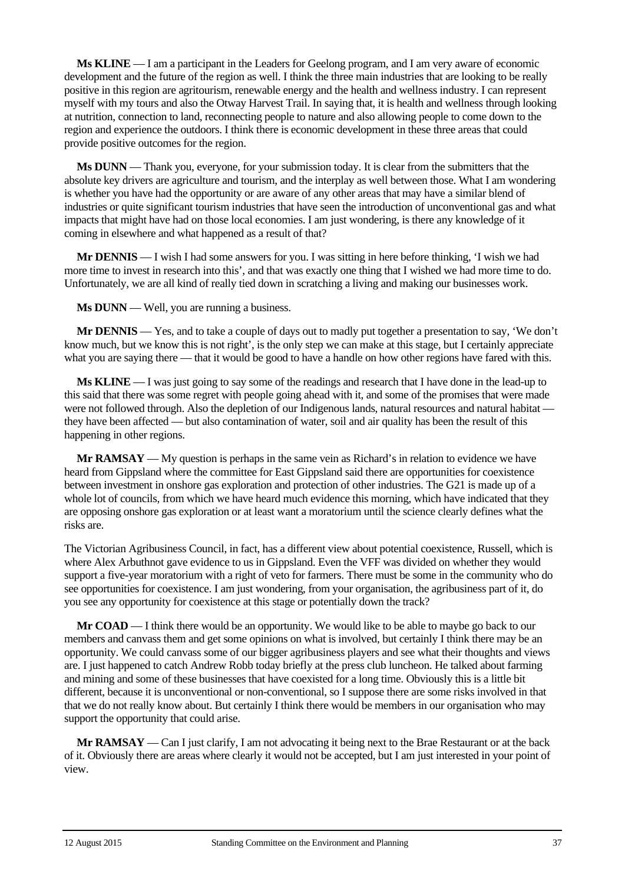**Ms KLINE** — I am a participant in the Leaders for Geelong program, and I am very aware of economic development and the future of the region as well. I think the three main industries that are looking to be really positive in this region are agritourism, renewable energy and the health and wellness industry. I can represent myself with my tours and also the Otway Harvest Trail. In saying that, it is health and wellness through looking at nutrition, connection to land, reconnecting people to nature and also allowing people to come down to the region and experience the outdoors. I think there is economic development in these three areas that could provide positive outcomes for the region.

**Ms DUNN** — Thank you, everyone, for your submission today. It is clear from the submitters that the absolute key drivers are agriculture and tourism, and the interplay as well between those. What I am wondering is whether you have had the opportunity or are aware of any other areas that may have a similar blend of industries or quite significant tourism industries that have seen the introduction of unconventional gas and what impacts that might have had on those local economies. I am just wondering, is there any knowledge of it coming in elsewhere and what happened as a result of that?

**Mr DENNIS** — I wish I had some answers for you. I was sitting in here before thinking, 'I wish we had more time to invest in research into this', and that was exactly one thing that I wished we had more time to do. Unfortunately, we are all kind of really tied down in scratching a living and making our businesses work.

**Ms DUNN** — Well, you are running a business.

**Mr DENNIS** — Yes, and to take a couple of days out to madly put together a presentation to say, 'We don't know much, but we know this is not right', is the only step we can make at this stage, but I certainly appreciate what you are saying there — that it would be good to have a handle on how other regions have fared with this.

**Ms KLINE** — I was just going to say some of the readings and research that I have done in the lead-up to this said that there was some regret with people going ahead with it, and some of the promises that were made were not followed through. Also the depletion of our Indigenous lands, natural resources and natural habitat they have been affected — but also contamination of water, soil and air quality has been the result of this happening in other regions.

**Mr RAMSAY** — My question is perhaps in the same vein as Richard's in relation to evidence we have heard from Gippsland where the committee for East Gippsland said there are opportunities for coexistence between investment in onshore gas exploration and protection of other industries. The G21 is made up of a whole lot of councils, from which we have heard much evidence this morning, which have indicated that they are opposing onshore gas exploration or at least want a moratorium until the science clearly defines what the risks are.

The Victorian Agribusiness Council, in fact, has a different view about potential coexistence, Russell, which is where Alex Arbuthnot gave evidence to us in Gippsland. Even the VFF was divided on whether they would support a five-year moratorium with a right of veto for farmers. There must be some in the community who do see opportunities for coexistence. I am just wondering, from your organisation, the agribusiness part of it, do you see any opportunity for coexistence at this stage or potentially down the track?

**Mr COAD** — I think there would be an opportunity. We would like to be able to maybe go back to our members and canvass them and get some opinions on what is involved, but certainly I think there may be an opportunity. We could canvass some of our bigger agribusiness players and see what their thoughts and views are. I just happened to catch Andrew Robb today briefly at the press club luncheon. He talked about farming and mining and some of these businesses that have coexisted for a long time. Obviously this is a little bit different, because it is unconventional or non-conventional, so I suppose there are some risks involved in that that we do not really know about. But certainly I think there would be members in our organisation who may support the opportunity that could arise.

**Mr RAMSAY** — Can I just clarify, I am not advocating it being next to the Brae Restaurant or at the back of it. Obviously there are areas where clearly it would not be accepted, but I am just interested in your point of view.